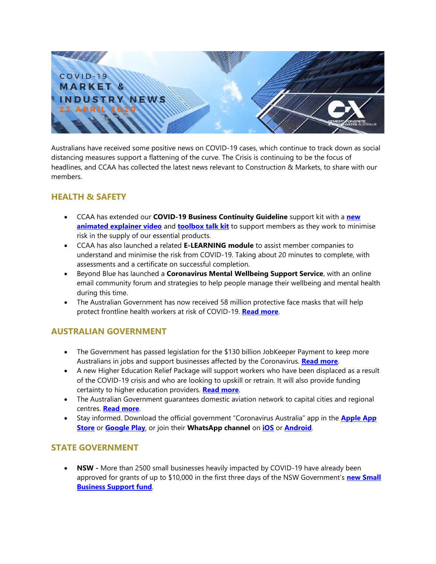

Australians have received some positive news on COVID-19 cases, which continue to track down as social distancing measures support a flattening of the curve. The Crisis is continuing to be the focus of headlines, and CCAA has collected the latest news relevant to Construction & Markets, to share with our members.

### **HEALTH & SAFETY**

- CCAA has extended our **[COVID-19 Business Continuity Guideline](https://view.publitas.com/ccaa/ccaa_covid19_riskmanagementprotocols_newsletter_25032020/page/1)** support kit with a **[new](https://youtu.be/PRbF0QZjY6U)  [animated explainer video](https://youtu.be/PRbF0QZjY6U)** and **[toolbox talk kit](https://www.ccaa.com.au/imis_prod/documents/CCAA_COVID19_BusContinuityGuide_RB.pptx)** to support members as they work to minimise risk in the supply of our essential products.
- CCAA has also launched a related **[E-LEARNING module](https://www.ccaa.com.au/iMIS_Prod/CCAA/Commerce/Event_Display.aspx?EventKey=BCGCOVID19&WebsiteKey=4998d6ce-2791-4962-b1e2-6b717f54a8d3)** to assist member companies to understand and minimise the risk from COVID-19. Taking about 20 minutes to complete, with assessments and a certificate on successful completion.
- Beyond Blue has launched a **[Coronavirus Mental Wellbeing Support Service](https://coronavirus.beyondblue.org.au/)**, with an online email community forum and strategies to help people manage their wellbeing and mental health during this time.
- The Australian Government has now received 58 million protective face masks that will help protect frontline health workers at risk of COVID-19. **[Read more](https://www.health.gov.au/ministers/the-hon-greg-hunt-mp/media/58-million-face-masks-arrive-to-protect-health-workers-from-covid-19)**.

### **AUSTRALIAN GOVERNMENT**

- The Government has passed legislation for the \$130 billion JobKeeper Payment to keep more Australians in jobs and support businesses affected by the Coronavirus. **[Read more](https://www.ato.gov.au/general/JobKeeper-Payment)**.
- A new Higher Education Relief Package will support workers who have been displaced as a result of the COVID-19 crisis and who are looking to upskill or retrain. It will also provide funding certainty to higher education providers. **[Read more](https://www.dese.gov.au/covid-19/higher-education/higher-education-faq)**.
- The Australian Government guarantees domestic aviation network to capital cities and regional centres. **[Read more](https://minister.infrastructure.gov.au/mccormack/media-release/federal-government-guarantees-domestic-aviation-network)**.
- Stay informed. Download the official government "Coronavirus Australia" app in the **[Apple App](https://apps.apple.com/au/app/coronavirus-australia/id1503846231)  [Store](https://apps.apple.com/au/app/coronavirus-australia/id1503846231)** or **[Google Play](https://play.google.com/store/apps/details?id=au.gov.health.covid19)**, or join their **[WhatsApp channel](https://api.whatsapp.com/send?phone=61400253787&text=To%20learn%20more%20about%20COVID-19%20in%20Australia%2c%20press%20the%20send%20button%20%e2%86%92&source=&data=)** on **[iOS](https://apps.apple.com/au/app/whatsapp-messenger/id310633997)** or **[Android](https://play.google.com/store/apps/details?id=com.whatsapp&hl=en_AU)**.

### **STATE GOVERNMENT**

• **NSW -** More than 2500 small businesses heavily impacted by COVID-19 have already been approved for grants of up to \$10,000 in the first three days of the NSW Government's **[new Small](https://www.nsw.gov.au/news/more-than-2500-businesses-approved-for-grants)  [Business Support fund](https://www.nsw.gov.au/news/more-than-2500-businesses-approved-for-grants)**.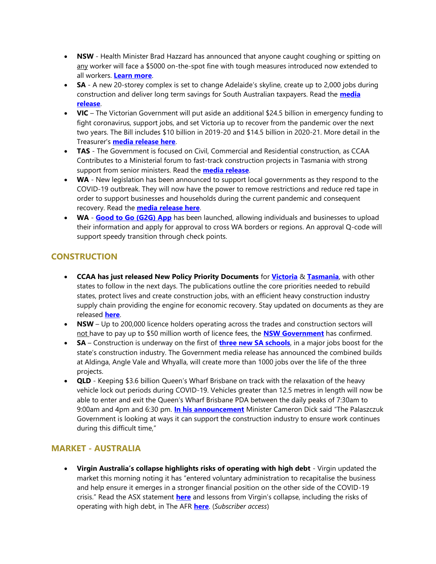- **NSW** Health Minister Brad Hazzard has announced that anyone caught coughing or spitting on any worker will face a \$5000 on-the-spot fine with tough measures introduced now extended to all workers. **[Learn more](https://www.nsw.gov.au/news/5000-on-spot-fine-to-protect-all-workers)**.
- **SA** A new 20-storey complex is set to change Adelaide's skyline, create up to 2,000 jobs during construction and deliver long term savings for South Australian taxpayers. Read the **[media](https://www.premier.sa.gov.au/news/media-releases/news/new-cbd-office-building-to-create-thousands-of-jobs)  [release](https://www.premier.sa.gov.au/news/media-releases/news/new-cbd-office-building-to-create-thousands-of-jobs)**.
- **VIC** The Victorian Government will put aside an additional \$24.5 billion in emergency funding to fight coronavirus, support jobs, and set Victoria up to recover from the pandemic over the next two years. The Bill includes \$10 billion in 2019-20 and \$14.5 billion in 2020-21. More detail in the Treasurer's **[media release here](https://www.premier.vic.gov.au/new-funding-to-fight-coronavirus-support-jobs-and-set-up-the-recovery/)**.
- **TAS** The Government is focused on Civil, Commercial and Residential construction, as CCAA Contributes to a Ministerial forum to fast-track construction projects in Tasmania with strong support from senior ministers. Read the **[media release](http://www.premier.tas.gov.au/releases/government_focused_on_civil,_commercial_and_residential_construction)**.
- **WA** New legislation has been announced to support local governments as they respond to the COVID-19 outbreak. They will now have the power to remove restrictions and reduce red tape in order to support businesses and households during the current pandemic and consequent recovery. Read the **[media release here](https://www.mediastatements.wa.gov.au/Pages/McGowan/2020/04/Local-Government-Act-changes-to-support-COVID-19-response.aspx)**.
- **WA [Good to Go \(G2G\) App](https://g2gpass.com.au/companyregistration)** has been launched, allowing individuals and businesses to upload their information and apply for approval to cross WA borders or regions. An approval Q-code will support speedy transition through check points.

# **CONSTRUCTION**

- **CCAA has just released New Policy Priority Documents** for **[Victoria](https://www.ccaa.com.au/imis_prod/documents/1991_Vic_Policy%20Priorities_web_R4.pdf)** & **[Tasmania](https://www.ccaa.com.au/imis_prod/documents/1991_Tas_Policy%20Priorities_web_R4.pdf)**, with other states to follow in the next days. The publications outline the core priorities needed to rebuild states, protect lives and create construction jobs, with an efficient heavy construction industry supply chain providing the engine for economic recovery. Stay updated on documents as they are released **[here](https://www.ccaa.com.au/iMIS_Prod/CCAA/Industry/Policy_Priorities/CCAA/Public_Content/LISTS/Policy_Priorities.aspx?hkey=142c0415-75b7-4bfa-b369-5cb72ba02c70)**.
- **NSW** Up to 200,000 licence holders operating across the trades and construction sectors will not have to pay up to \$50 million worth of licence fees, the **[NSW Government](https://www.nsw.gov.au/news/slashed-licence-fees-a-big-win-for-businesses)** has confirmed.
- **SA** Construction is underway on the first of **[three new SA schools](https://www.premier.sa.gov.au/news/media-releases/news/construction-begins-on-first-of-three-new-sa-schools)**, in a major jobs boost for the state's construction industry. The Government media release has announced the combined builds at Aldinga, Angle Vale and Whyalla, will create more than 1000 jobs over the life of the three projects.
- **QLD** Keeping \$3.6 billion Queen's Wharf Brisbane on track with the relaxation of the heavy vehicle lock out periods during COVID-19. Vehicles greater than 12.5 metres in length will now be able to enter and exit the Queen's Wharf Brisbane PDA between the daily peaks of 7:30am to 9:00am and 4pm and 6:30 pm. **[In his announcement](http://statements.qld.gov.au/Statement/2020/4/11/keeping-queens-wharf-brisbane-on-track)** Minister Cameron Dick said "The Palaszczuk Government is looking at ways it can support the construction industry to ensure work continues during this difficult time,"

## **MARKET - AUSTRALIA**

• **Virgin Australia's collapse highlights risks of operating with high debt** - Virgin updated the market this morning noting it has "entered voluntary administration to recapitalise the business and help ensure it emerges in a stronger financial position on the other side of the COVID-19 crisis." Read the ASX statement **[here](https://canningscorporatecommunications.us13.list-manage.com/track/click?u=bc63a66fd245708ca6ca5acf6&id=116d0d13f7&e=982ab25c03)** and lessons from Virgin's collapse, including the risks of operating with high debt, in The AFR **[here](https://canningscorporatecommunications.us13.list-manage.com/track/click?u=bc63a66fd245708ca6ca5acf6&id=34612ed5b6&e=982ab25c03)**. (*Subscriber access*)